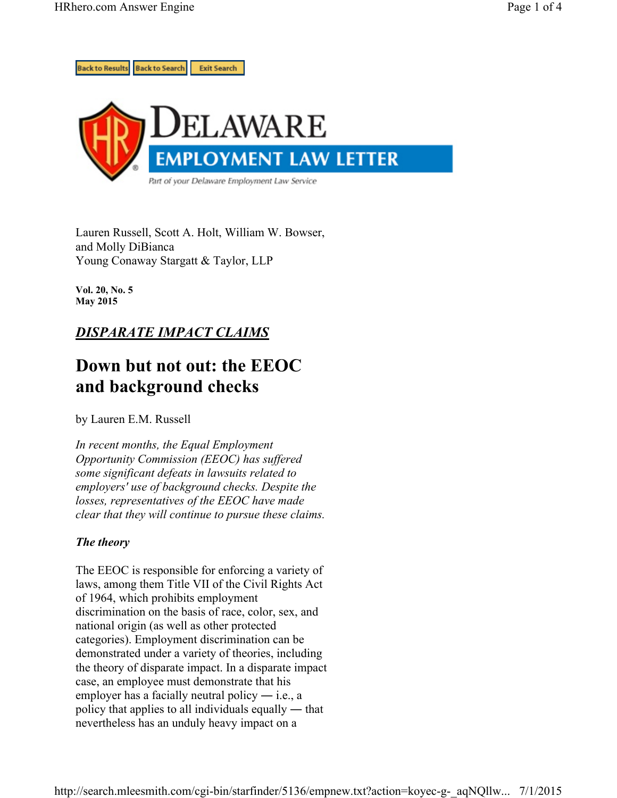

Lauren Russell, Scott A. Holt, William W. Bowser, and Molly DiBianca Young Conaway Stargatt & Taylor, LLP

**Vol. 20, No. 5 May 2015** 

## *DISPARATE IMPACT CLAIMS*

# **Down but not out: the EEOC and background checks**

by Lauren E.M. Russell

*In recent months, the Equal Employment Opportunity Commission (EEOC) has suffered some significant defeats in lawsuits related to employers' use of background checks. Despite the losses, representatives of the EEOC have made clear that they will continue to pursue these claims.*

### *The theory*

The EEOC is responsible for enforcing a variety of laws, among them Title VII of the Civil Rights Act of 1964, which prohibits employment discrimination on the basis of race, color, sex, and national origin (as well as other protected categories). Employment discrimination can be demonstrated under a variety of theories, including the theory of disparate impact. In a disparate impact case, an employee must demonstrate that his employer has a facially neutral policy  $-$  i.e., a policy that applies to all individuals equally ― that nevertheless has an unduly heavy impact on a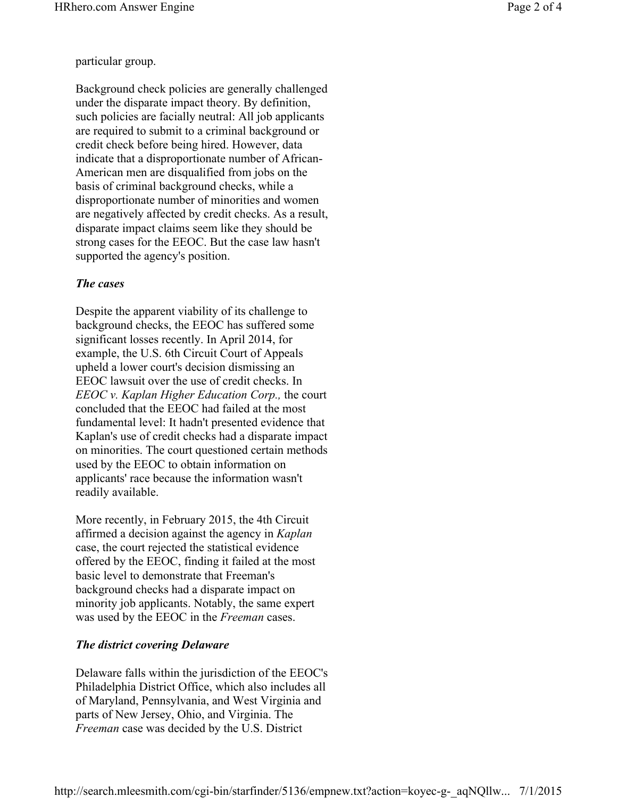particular group.

Background check policies are generally challenged under the disparate impact theory. By definition, such policies are facially neutral: All job applicants are required to submit to a criminal background or credit check before being hired. However, data indicate that a disproportionate number of African-American men are disqualified from jobs on the basis of criminal background checks, while a disproportionate number of minorities and women are negatively affected by credit checks. As a result, disparate impact claims seem like they should be strong cases for the EEOC. But the case law hasn't supported the agency's position.

#### *The cases*

Despite the apparent viability of its challenge to background checks, the EEOC has suffered some significant losses recently. In April 2014, for example, the U.S. 6th Circuit Court of Appeals upheld a lower court's decision dismissing an EEOC lawsuit over the use of credit checks. In *EEOC v. Kaplan Higher Education Corp.,* the court concluded that the EEOC had failed at the most fundamental level: It hadn't presented evidence that Kaplan's use of credit checks had a disparate impact on minorities. The court questioned certain methods used by the EEOC to obtain information on applicants' race because the information wasn't readily available.

More recently, in February 2015, the 4th Circuit affirmed a decision against the agency in *Kaplan* case, the court rejected the statistical evidence offered by the EEOC, finding it failed at the most basic level to demonstrate that Freeman's background checks had a disparate impact on minority job applicants. Notably, the same expert was used by the EEOC in the *Freeman* cases.

#### *The district covering Delaware*

Delaware falls within the jurisdiction of the EEOC's Philadelphia District Office, which also includes all of Maryland, Pennsylvania, and West Virginia and parts of New Jersey, Ohio, and Virginia. The *Freeman* case was decided by the U.S. District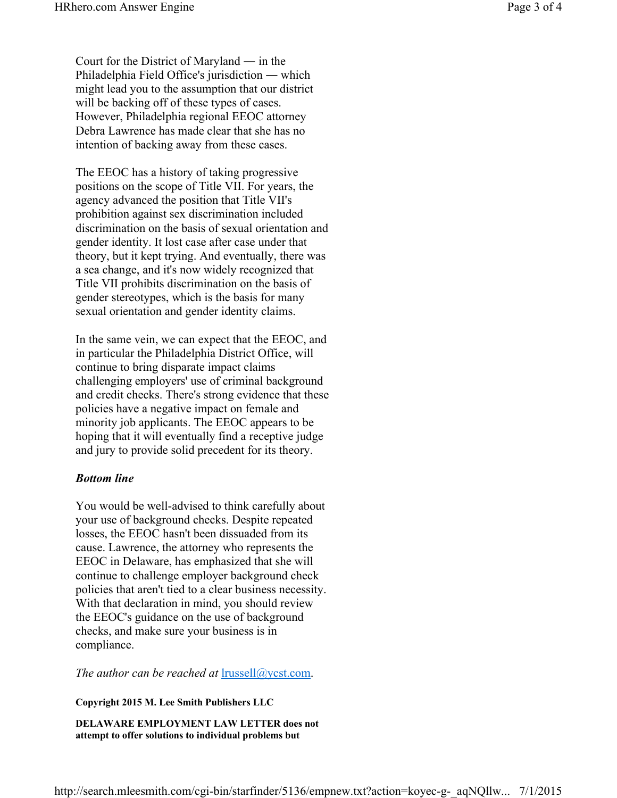Court for the District of Maryland ― in the Philadelphia Field Office's jurisdiction ― which might lead you to the assumption that our district will be backing off of these types of cases. However, Philadelphia regional EEOC attorney Debra Lawrence has made clear that she has no intention of backing away from these cases.

The EEOC has a history of taking progressive positions on the scope of Title VII. For years, the agency advanced the position that Title VII's prohibition against sex discrimination included discrimination on the basis of sexual orientation and gender identity. It lost case after case under that theory, but it kept trying. And eventually, there was a sea change, and it's now widely recognized that Title VII prohibits discrimination on the basis of gender stereotypes, which is the basis for many sexual orientation and gender identity claims.

In the same vein, we can expect that the EEOC, and in particular the Philadelphia District Office, will continue to bring disparate impact claims challenging employers' use of criminal background and credit checks. There's strong evidence that these policies have a negative impact on female and minority job applicants. The EEOC appears to be hoping that it will eventually find a receptive judge and jury to provide solid precedent for its theory.

#### *Bottom line*

You would be well-advised to think carefully about your use of background checks. Despite repeated losses, the EEOC hasn't been dissuaded from its cause. Lawrence, the attorney who represents the EEOC in Delaware, has emphasized that she will continue to challenge employer background check policies that aren't tied to a clear business necessity. With that declaration in mind, you should review the EEOC's guidance on the use of background checks, and make sure your business is in compliance.

*The author can be reached at* lrussell@ycst.com.

**Copyright 2015 M. Lee Smith Publishers LLC** 

**DELAWARE EMPLOYMENT LAW LETTER does not attempt to offer solutions to individual problems but**